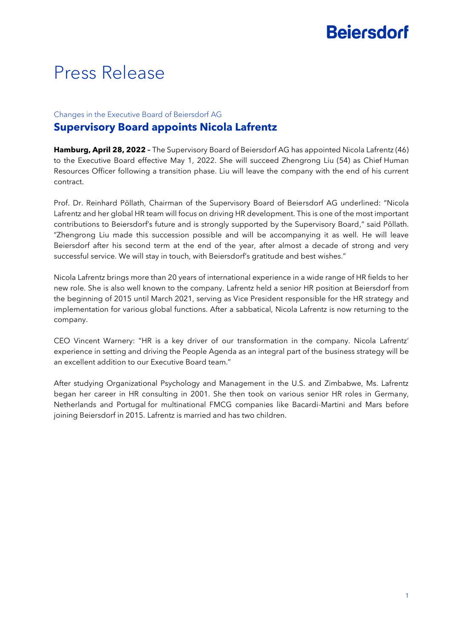# **Bejersdorf**

## Press Release

#### Changes in the Executive Board of Beiersdorf AG **Supervisory Board appoints Nicola Lafrentz**

**Hamburg, April 28, 2022 –** The Supervisory Board of Beiersdorf AG has appointed Nicola Lafrentz (46) to the Executive Board effective May 1, 2022. She will succeed Zhengrong Liu (54) as Chief Human Resources Officer following a transition phase. Liu will leave the company with the end of his current contract.

Prof. Dr. Reinhard Pöllath, Chairman of the Supervisory Board of Beiersdorf AG underlined: "Nicola Lafrentz and her global HR team will focus on driving HR development. This is one of the most important contributions to Beiersdorf's future and is strongly supported by the Supervisory Board," said Pöllath. "Zhengrong Liu made this succession possible and will be accompanying it as well. He will leave Beiersdorf after his second term at the end of the year, after almost a decade of strong and very successful service. We will stay in touch, with Beiersdorf's gratitude and best wishes."

Nicola Lafrentz brings more than 20 years of international experience in a wide range of HR fields to her new role. She is also well known to the company. Lafrentz held a senior HR position at Beiersdorf from the beginning of 2015 until March 2021, serving as Vice President responsible for the HR strategy and implementation for various global functions. After a sabbatical, Nicola Lafrentz is now returning to the company.

CEO Vincent Warnery: "HR is a key driver of our transformation in the company. Nicola Lafrentz' experience in setting and driving the People Agenda as an integral part of the business strategy will be an excellent addition to our Executive Board team."

After studying Organizational Psychology and Management in the U.S. and Zimbabwe, Ms. Lafrentz began her career in HR consulting in 2001. She then took on various senior HR roles in Germany, Netherlands and Portugal for multinational FMCG companies like Bacardi-Martini and Mars before joining Beiersdorf in 2015. Lafrentz is married and has two children.